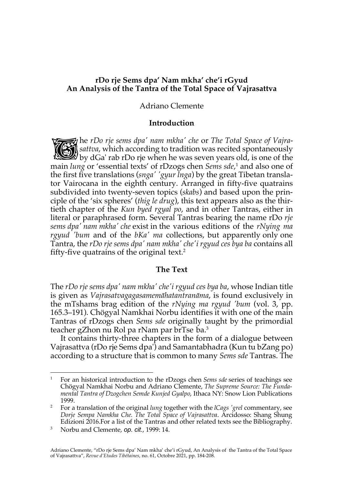# **rDo rje Sems dpa' Nam mkha' che'i rGyud An Analysis of the Tantra of the Total Space of Vajrasattva**

# Adriano Clemente

## **Introduction**

he *rDo rje sems dpa' nam mkha' che* or *The Total Space of Vajrasattva*, which according to tradition was recited spontaneously The *rDo rje sems dpa' nam mkha' che* or *The Total Space of Vajrasattva*, which according to tradition was recited spontaneously by dGa' rab rDo rje when he was seven years old, is one of the main *lung* or 'essential texts' of rDzogs chen *Sems sde*, <sup>1</sup> and also one of the first five translations (*snga' 'gyur lnga*) by the great Tibetan translator Vairocana in the eighth century. Arranged in fifty-five quatrains subdivided into twenty-seven topics (*skabs*) and based upon the principle of the 'six spheres' (*thig le drug*), this text appears also as the thirtieth chapter of the *Kun byed rgyal po*, and in other Tantras, either in literal or paraphrased form. Several Tantras bearing the name rDo *rje sems dpa' nam mkha' che* exist in the various editions of the *rNying ma rgyud 'bum* and of the *bKa' ma* collections, but apparently only one Tantra, the *rDo rje sems dpa' nam mkha' che'i rgyud ces bya ba* contains all fifty-five quatrains of the original text.2

### **The Text**

The *rDo rje sems dpa' nam mkha' che'i rgyud ces bya ba*, whose Indian title is given as *Vajrasatvagagasamemāhatantranāma*, is found exclusively in the mTshams brag edition of the *rNying ma rgyud 'bum* (vol. 3, pp. 165.3–191). Chögyal Namkhai Norbu identifies it with one of the main Tantras of rDzogs chen *Sems sde* originally taught by the primordial teacher gZhon nu Rol pa rNam par brTse ba.3

It contains thirty-three chapters in the form of a dialogue between Vajrasattva (rDo rje Sems dpa') and Samantabhadra (Kun tu bZang po) according to a structure that is common to many *Sems sde* Tantras. The

<sup>1</sup> For an historical introduction to the rDzogs chen *Sems sde* series of teachings see Chögyal Namkhai Norbu and Adriano Clemente, *The Supreme Source: The Fundamental Tantra of Dzogchen Semde Kunjed Gyalpo*, Ithaca NY: Snow Lion Publications 1999.

<sup>2</sup> For a translation of the original *lung* together with the *lCags 'grel* commentary, see *Dorje Sempa Namkha Che. The Total Space of Vajrasattva*. Arcidosso: Shang Shung Edizioni 2016.For a list of the Tantras and other related texts see the Bibliography.

<sup>3</sup> Norbu and Clemente, *op. cit.*, 1999: 14.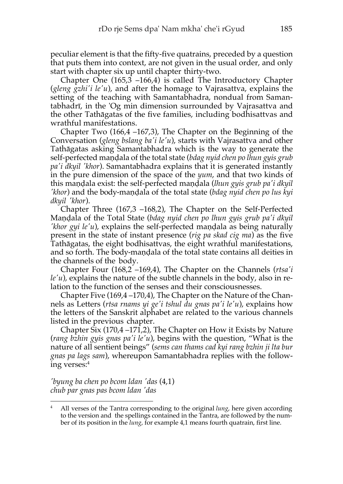peculiar element is that the fifty-five quatrains, preceded by a question that puts them into context, are not given in the usual order, and only start with chapter six up until chapter thirty-two.

Chapter One (165,3 –166,4) is called The Introductory Chapter (*gleng gzhi'i le'u*), and after the homage to Vajrasattva, explains the setting of the teaching with Samantabhadra, nondual from Samantabhadrī, in the 'Og min dimension surrounded by Vajrasattva and the other Tathāgatas of the five families, including bodhisattvas and wrathful manifestations.

Chapter Two (166,4 –167,3), The Chapter on the Beginning of the Conversation (*gleng bslang ba'i le'u*), starts with Vajrasattva and other Tathāgatas asking Samantabhadra which is the way to generate the self-perfected maṇḍala of the total state (*bdag nyid chen po lhun gyis grub pa'i dkyil 'khor*). Samantabhadra explains that it is generated instantly in the pure dimension of the space of the *yum*, and that two kinds of this maṇḍala exist: the self-perfected maṇḍala (*lhun gyis grub pa'i dkyil 'khor*) and the body-maṇḍala of the total state (*bdag nyid chen po lus kyi dkyil 'khor*).

Chapter Three (167,3 –168,2), The Chapter on the Self-Perfected Maṇḍala of the Total State (*bdag nyid chen po lhun gyis grub pa'i dkyil 'khor gyi le'u*), explains the self-perfected maṇḍala as being naturally present in the state of instant presence (*rig pa skad cig ma*) as the five Tathāgatas, the eight bodhisattvas, the eight wrathful manifestations, and so forth. The body-maṇḍala of the total state contains all deities in the channels of the body.

Chapter Four (168,2 –169,4), The Chapter on the Channels (*rtsa'i le'u*), explains the nature of the subtle channels in the body, also in relation to the function of the senses and their consciousnesses.

Chapter Five (169,4 –170,4), The Chapter on the Nature of the Channels as Letters (*rtsa rnams yi ge'i tshul du gnas pa'i le'u*), explains how the letters of the Sanskrit alphabet are related to the various channels listed in the previous chapter.

Chapter Six (170,4 –171,2), The Chapter on How it Exists by Nature (*rang bzhin gyis gnas pa'i le'u*), begins with the question, "What is the nature of all sentient beings" (*sems can thams cad kyi rang bzhin ji lta bur gnas pa lags sam*), whereupon Samantabhadra replies with the following verses:4

*'byung ba chen po bcom ldan 'das* (4,1) *chub par gnas pas bcom ldan 'das*

<sup>4</sup> All verses of the Tantra corresponding to the original *lung*, here given according to the version and the spellings contained in the Tantra, are followed by the number of its position in the *lung*, for example 4,1 means fourth quatrain, first line.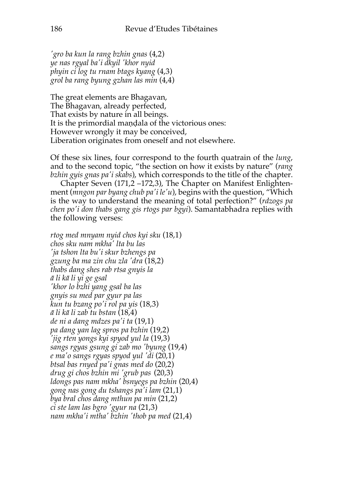*'gro ba kun la rang bzhin gnas* (4,2) *ye nas rgyal ba'i dkyil 'khor nyid phyin ci log tu rnam btags kyang* (4,3) *grol ba rang byung gzhan las min* (4,4)

The great elements are Bhagavan, The Bhagavan, already perfected, That exists by nature in all beings. It is the primordial maṇḍala of the victorious ones: However wrongly it may be conceived, Liberation originates from oneself and not elsewhere.

Of these six lines, four correspond to the fourth quatrain of the *lung*, and to the second topic, "the section on how it exists by nature" (*rang bzhin gyis gnas pa'i skabs*), which corresponds to the title of the chapter.

Chapter Seven (171,2 –172,3), The Chapter on Manifest Enlightenment (*mngon par byang chub pa'i le'u*), begins with the question, "Which is the way to understand the meaning of total perfection?" (*rdzogs pa chen po'i don thabs gang gis rtogs par bgyi*). Samantabhadra replies with the following verses:

*rtog med mnyam nyid chos kyi sku* (18,1) *chos sku nam mkha' lta bu las 'ja tshon lta bu'i skur bzhengs pa gzung ba ma zin chu zla 'dra* (18,2) *thabs dang shes rab rtsa gnyis la ā li kā li yi ge gsal 'khor lo bzhi yang gsal ba las gnyis su med par gyur pa las kun tu bzang po'i rol pa yis* (18,3) *ā li kā li zab tu bstan* (18,4) *de ni a dang mdzes pa'i ta* (19,1) *pa dang yan lag spros pa bzhin* (19,2) *'jig rten yongs kyi spyod yul la* (19,3) *sangs rgyas gsung gi zab mo 'byung* (19,4) *e ma'o sangs rgyas spyod yul 'di* (20,1) *btsal bas rnyed pa'i gnas med do* (20,2) *drug gi chos bzhin mi 'grub pas* (20,3) *ldongs pas nam mkha' bsnyegs pa bzhin* (20,4) *gong nas gong du tshangs pa'i lam* (21,1) *bya bral chos dang mthun pa min* (21,2) *ci ste lam las bgro 'gyur na* (21,3) *nam mkha'i mtha' bzhin 'thob pa med* (21,4)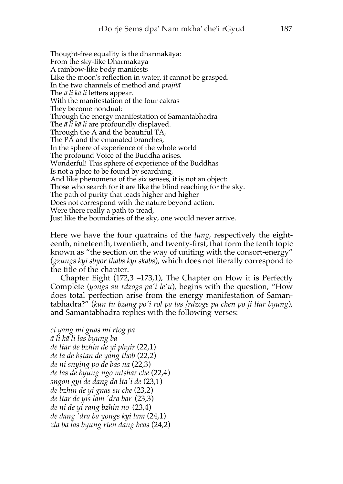Thought-free equality is the dharmakāya: From the sky-like Dharmakāya A rainbow-like body manifests Like the moon's reflection in water, it cannot be grasped. In the two channels of method and *prajñā* The *ā li kā li* letters appear. With the manifestation of the four cakras They become nondual: Through the energy manifestation of Samantabhadra The *ā li kā li* are profoundly displayed. Through the A and the beautiful TA, The PA and the emanated branches, In the sphere of experience of the whole world The profound Voice of the Buddha arises. Wonderful! This sphere of experience of the Buddhas Is not a place to be found by searching, And like phenomena of the six senses, it is not an object: Those who search for it are like the blind reaching for the sky. The path of purity that leads higher and higher Does not correspond with the nature beyond action. Were there really a path to tread, Just like the boundaries of the sky, one would never arrive.

Here we have the four quatrains of the *lung*, respectively the eighteenth, nineteenth, twentieth, and twenty-first, that form the tenth topic known as "the section on the way of uniting with the consort-energy" (*gzungs kyi sbyor thabs kyi skabs*), which does not literally correspond to the title of the chapter.

Chapter Eight (172,3 –173,1), The Chapter on How it is Perfectly Complete (*yongs su rdzogs pa'i le'u*), begins with the question, "How does total perfection arise from the energy manifestation of Samantabhadra?" (*kun tu bzang po'i rol pa las /rdzogs pa chen po ji ltar byung*), and Samantabhadra replies with the following verses:

*ci yang mi gnas mi rtog pa ā li kā li las byung ba de ltar de bzhin de yi phyir* (22,1) *de la de bstan de yang thob* (22,2) *de ni snying po de bas na* (22,3) *de las de byung ngo mtshar che* (22,4) *sngon gyi de dang da lta'i de* (23,1) *de bzhin de yi gnas su che* (23,2) *de ltar de yis lam 'dra bar* (23,3) *de ni de yi rang bzhin no* (23,4) *de dang 'dra ba yongs kyi lam* (24,1) *zla ba las byung rten dang bcas* (24,2)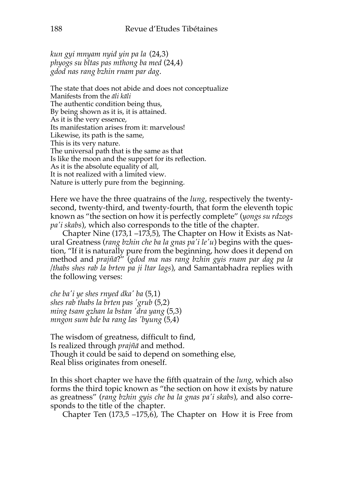*kun gyi mnyam nyid yin pa la* (24,3) *phyogs su bltas pas mthong ba med* (24,4) *gdod nas rang bzhin rnam par dag*.

The state that does not abide and does not conceptualize Manifests from the *āli kāli* The authentic condition being thus, By being shown as it is, it is attained. As it is the very essence, Its manifestation arises from it: marvelous! Likewise, its path is the same, This is its very nature. The universal path that is the same as that Is like the moon and the support for its reflection. As it is the absolute equality of all, It is not realized with a limited view. Nature is utterly pure from the beginning.

Here we have the three quatrains of the *lung*, respectively the twentysecond, twenty-third, and twenty-fourth, that form the eleventh topic known as "the section on how it is perfectly complete" (*yongs su rdzogs pa'i skabs*), which also corresponds to the title of the chapter.

Chapter Nine (173,1 –173,5), The Chapter on How it Exists as Natural Greatness (*rang bzhin che ba la gnas pa'i le'u*) begins with the question, "If it is naturally pure from the beginning, how does it depend on method and *prajñā*?" (*gdod ma nas rang bzhin gyis rnam par dag pa la /thabs shes rab la brten pa ji ltar lags*), and Samantabhadra replies with the following verses:

*che ba'i ye shes rnyed dka' ba* (5,1) *shes rab thabs la brten pas 'grub* (5,2) *ming tsam gzhan la bstan 'dra yang* (5,3) *mngon sum bde ba rang las 'byung* (5,4)

The wisdom of greatness, difficult to find, Is realized through *prajñā* and method. Though it could be said to depend on something else, Real bliss originates from oneself.

In this short chapter we have the fifth quatrain of the *lung*, which also forms the third topic known as "the section on how it exists by nature as greatness" (*rang bzhin gyis che ba la gnas pa'i skabs*), and also corresponds to the title of the chapter.

Chapter Ten (173,5 –175,6), The Chapter on How it is Free from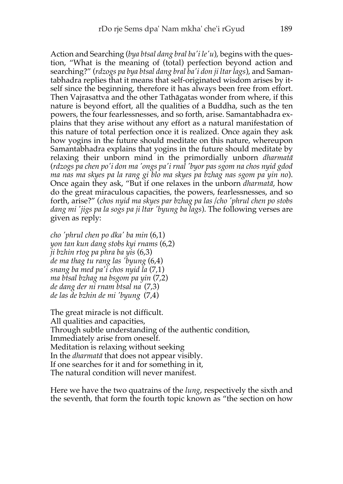Action and Searching (*bya btsal dang bral ba'i le'u*), begins with the question, "What is the meaning of (total) perfection beyond action and searching?" (*rdzogs pa bya btsal dang bral ba'i don ji ltar lags*), and Samantabhadra replies that it means that self-originated wisdom arises by itself since the beginning, therefore it has always been free from effort. Then Vajrasattva and the other Tathāgatas wonder from where, if this nature is beyond effort, all the qualities of a Buddha, such as the ten powers, the four fearlessnesses, and so forth, arise. Samantabhadra explains that they arise without any effort as a natural manifestation of this nature of total perfection once it is realized. Once again they ask how yogins in the future should meditate on this nature, whereupon Samantabhadra explains that yogins in the future should meditate by relaxing their unborn mind in the primordially unborn *dharmatā* (*rdzogs pa chen po'i don ma 'ongs pa'i rnal 'byor pas sgom na chos nyid gdod ma nas ma skyes pa la rang gi blo ma skyes pa bzhag nas sgom pa yin no*). Once again they ask, "But if one relaxes in the unborn *dharmatā*, how do the great miraculous capacities, the powers, fearlessnesses, and so forth, arise?" (*chos nyid ma skyes par bzhag pa las /cho 'phrul chen po stobs dang mi 'jigs pa la sogs pa ji ltar 'byung ba lags*). The following verses are given as reply:

*cho 'phrul chen po dka' ba min* (6,1) *yon tan kun dang stobs kyi rnams* (6,2) *ji bzhin rtog pa phra ba yis* (6,3) *de ma thag tu rang las 'byung* (6,4) *snang ba med pa'i chos nyid la* (7,1) *ma btsal bzhag na bsgom pa yin* (7,2) *de dang der ni rnam btsal na* (7,3) *de las de bzhin de mi 'byung* (7,4)

The great miracle is not difficult. All qualities and capacities, Through subtle understanding of the authentic condition, Immediately arise from oneself. Meditation is relaxing without seeking In the *dharmatā* that does not appear visibly. If one searches for it and for something in it, The natural condition will never manifest.

Here we have the two quatrains of the *lung*, respectively the sixth and the seventh, that form the fourth topic known as "the section on how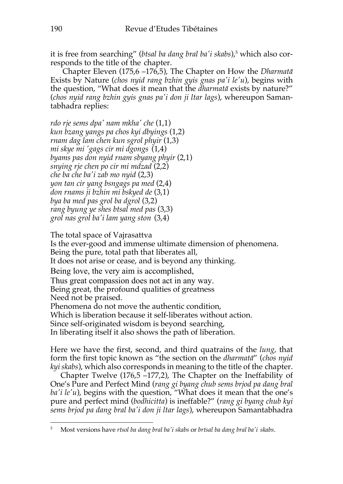it is free from searching" (*btsal ba dang bral ba'i skabs*),<sup>5</sup> which also corresponds to the title of the chapter.

Chapter Eleven (175,6 –176,5), The Chapter on How the *Dharmatā* Exists by Nature (*chos nyid rang bzhin gyis gnas pa'i le'u*), begins with the question, "What does it mean that the *dharmatā* exists by nature?" (*chos nyid rang bzhin gyis gnas pa'i don ji ltar lags*), whereupon Samantabhadra replies:

*rdo rje sems dpa' nam mkha' che* (1,1) *kun bzang yangs pa chos kyi dbyings* (1,2) *rnam dag lam chen kun sgrol phyir* (1,3) *mi skye mi 'gags cir mi dgongs* (1,4) *byams pas don nyid rnam sbyang phyir* (2,1) *snying rje chen po cir mi mdzad* (2,2) *che ba che ba'i zab mo nyid* (2,3) *yon tan cir yang bsngags pa med* (2,4) *don rnams ji bzhin mi bskyed de* (3,1) *bya ba med pas grol ba dgrol* (3,2) *rang byung ye shes btsal med pas* (3,3) *grol nas grol ba'i lam yang ston* (3,4)

The total space of Vajrasattva

Is the ever-good and immense ultimate dimension of phenomena.

Being the pure, total path that liberates all,

It does not arise or cease, and is beyond any thinking.

Being love, the very aim is accomplished,

Thus great compassion does not act in any way.

Being great, the profound qualities of greatness

Need not be praised.

Phenomena do not move the authentic condition,

Which is liberation because it self-liberates without action.

Since self-originated wisdom is beyond searching,

In liberating itself it also shows the path of liberation.

Here we have the first, second, and third quatrains of the *lung*, that form the first topic known as "the section on the *dharmatā*" (*chos nyid kyi skabs*), which also corresponds in meaning to the title of the chapter.

Chapter Twelve (176,5 –177,2), The Chapter on the Ineffability of One's Pure and Perfect Mind (*rang gi byang chub sems brjod pa dang bral ba'i le'u*), begins with the question, "What does it mean that the one's pure and perfect mind (*bodhicitta*) is ineffable?" (*rang gi byang chub kyi sems brjod pa dang bral ba'i don ji ltar lags*), whereupon Samantabhadra

<sup>5</sup> Most versions have *rtsol ba dang bral ba'i skabs* or *brtsal ba dang bral ba'i skabs*.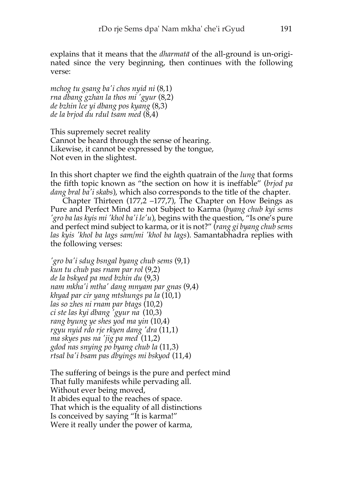explains that it means that the *dharmatā* of the all-ground is un-originated since the very beginning, then continues with the following verse:

*mchog tu gsang ba'i chos nyid ni* (8,1) *rna dbang gzhan la thos mi 'gyur* (8,2) *de bzhin lce yi dbang pos kyang* (8,3) *de la brjod du rdul tsam med* (8,4)

This supremely secret reality Cannot be heard through the sense of hearing. Likewise, it cannot be expressed by the tongue, Not even in the slightest.

In this short chapter we find the eighth quatrain of the *lung* that forms the fifth topic known as "the section on how it is ineffable" (*brjod pa dang bral ba'i skabs*), which also corresponds to the title of the chapter.

Chapter Thirteen (177,2 –177,7), The Chapter on How Beings as Pure and Perfect Mind are not Subject to Karma (*byang chub kyi sems 'gro ba las kyis mi 'khol ba'i le'u*), begins with the question, "Is one's pure and perfect mind subject to karma, or it is not?" (*rang gi byang chub sems las kyis 'khol ba lags sam/mi 'khol ba lags*). Samantabhadra replies with the following verses:

*'gro ba'i sdug bsngal byang chub sems* (9,1) *kun tu chub pas rnam par rol* (9,2) *de la bskyed pa med bzhin du* (9,3) *nam mkha'i mtha' dang mnyam par gnas* (9,4) *khyad par cir yang mtshungs pa la* (10,1) *las so zhes ni rnam par btags* (10,2) *ci ste las kyi dbang 'gyur na* (10,3) *rang byung ye shes yod ma yin* (10,4) *rgyu nyid rdo rje rkyen dang 'dra* (11,1) *ma skyes pas na 'jig pa med* (11,2) *gdod nas snying po byang chub la* (11,3) *rtsal ba'i bsam pas dbyings mi bskyod* (11,4)

The suffering of beings is the pure and perfect mind That fully manifests while pervading all. Without ever being moved, It abides equal to the reaches of space. That which is the equality of all distinctions Is conceived by saying "It is karma!" Were it really under the power of karma,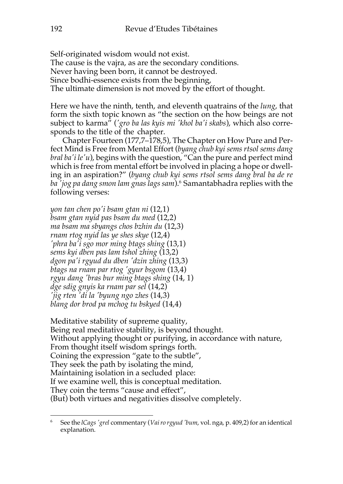Self-originated wisdom would not exist. The cause is the vajra, as are the secondary conditions. Never having been born, it cannot be destroyed. Since bodhi-essence exists from the beginning, The ultimate dimension is not moved by the effort of thought.

Here we have the ninth, tenth, and eleventh quatrains of the *lung*, that form the sixth topic known as "the section on the how beings are not subject to karma" (*'gro ba las kyis mi 'khol ba'i skabs*), which also corresponds to the title of the chapter.

Chapter Fourteen (177,7–178,5), The Chapter on How Pure and Perfect Mind is Free from Mental Effort (*byang chub kyi sems rtsol sems dang bral ba'i le'u*), begins with the question, "Can the pure and perfect mind which is free from mental effort be involved in placing a hope or dwelling in an aspiration?" (*byang chub kyi sems rtsol sems dang bral ba de re ba 'jog pa dang smon lam gnas lags sam*).6 Samantabhadra replies with the following verses:

*yon tan chen po'i bsam gtan ni* (12,1) *bsam gtan nyid pas bsam du med* (12,2) *ma bsam ma sbyangs chos bzhin du* (12,3) *rnam rtog nyid las ye shes skye* (12,4) *'phra ba'i sgo mor ming btags shing* (13,1) *sems kyi dben pas lam tshol zhing* (13,2) *dgon pa'i rgyud du dben 'dzin zhing* (13,3) *btags na rnam par rtog 'gyur bsgom* (13,4) *rgyu dang 'bras bur ming btags shing* (14, 1) *dge sdig gnyis ka rnam par sel* (14,2) *'jig rten 'di la 'byung ngo zhes* (14,3) *blang dor brod pa mchog tu bskyed* (14,4)

Meditative stability of supreme quality, Being real meditative stability, is beyond thought. Without applying thought or purifying, in accordance with nature, From thought itself wisdom springs forth. Coining the expression "gate to the subtle", They seek the path by isolating the mind, Maintaining isolation in a secluded place: If we examine well, this is conceptual meditation. They coin the terms "cause and effect", (But) both virtues and negativities dissolve completely.

<sup>6</sup> See the *lCags'grel* commentary (*Vairo rgyud 'bum*, vol. nga, p. 409,2) for an identical explanation.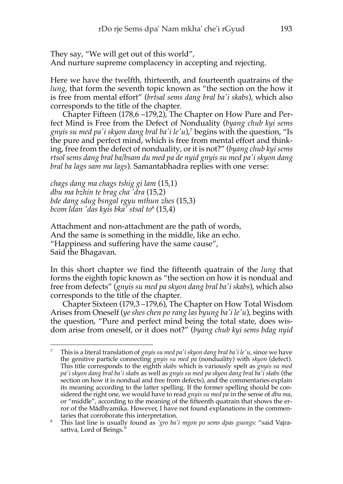They say, "We will get out of this world", And nurture supreme complacency in accepting and rejecting.

Here we have the twelfth, thirteenth, and fourteenth quatrains of the *lung*, that form the seventh topic known as "the section on the how it is free from mental effort" (*brtsal sems dang bral ba'i skabs*), which also corresponds to the title of the chapter.

Chapter Fifteen (178,6 –179,2), The Chapter on How Pure and Perfect Mind is Free from the Defect of Nonduality (*byang chub kyi sems gnyis su med pa'i skyon dang bral ba'i le'u*), <sup>7</sup> begins with the question, "Is the pure and perfect mind, which is free from mental effort and thinking, free from the defect of nonduality, or it is not?" (*byang chub kyi sems rtsol sems dang bral ba/bsam du med pa de nyid gnyis su med pa'i skyon dang bral ba lags sam ma lags*). Samantabhadra replies with one verse:

*chags dang ma chags tshig gi lam* (15,1) *dbu ma bzhin te brag cha 'dra* (15,2) *bde dang sdug bsngal rgyu mthun zhes* (15,3) *bcom ldan 'das kyis bka' stsal to*<sup>8</sup> (15,4)

Attachment and non-attachment are the path of words, And the same is something in the middle, like an echo. "Happiness and suffering have the same cause", Said the Bhagavan.

In this short chapter we find the fifteenth quatrain of the *lung* that forms the eighth topic known as "the section on how it is nondual and free from defects" (*gnyis su med pa skyon dang bral ba'i skabs*), which also corresponds to the title of the chapter.

Chapter Sixteen (179,3 –179,6), The Chapter on How Total Wisdom Arises from Oneself (*ye shes chen po rang las byung ba'i le'u*), begins with the question, "Pure and perfect mind being the total state, does wisdom arise from oneself, or it does not?" (*byang chub kyi sems bdag nyid* 

<sup>7</sup> This is a literal translation of *gnyissu med pa'i skyon dang bral ba'i le'u*, since we have the genitive particle connecting *gnyis su med pa* (nonduality) with *skyon* (defect). This title corresponds to the eighth *skabs* which is variously spelt as *gnyis su med pa'i skyon dang bral ba'i skabs* as well as *gnyis su med pa skyon dang bral ba'i skabs* (the section on how it is nondual and free from defects), and the commentaries explain its meaning according to the latter spelling. If the former spelling should be considered the right one, we would have to read *gnyis su med pa* in the sense of *dbu ma*, or "middle", according to the meaning of the fifteenth quatrain that shows the error of the Mādhyamika. However, I have not found explanations in the commentaries that corroborate this interpretation.

<sup>8</sup> This last line is usually found as *'gro ba'i mgon po sems dpas gsungs*: "said Vajrasattva, Lord of Beings."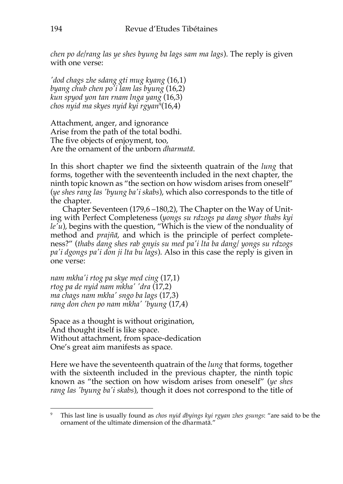*chen po de/rang las ye shes byung ba lags sam ma lags*). The reply is given with one verse:

*'dod chags zhe sdang gti mug kyang* (16,1) *byang chub chen po'i lam las byung* (16,2) *kun spyod yon tan rnam lnga yang* (16,3) *chos nyid ma skyes nyid kyi rgyan*<sup>9</sup> (16,4)

Attachment, anger, and ignorance Arise from the path of the total bodhi. The five objects of enjoyment, too, Are the ornament of the unborn *dharmatā*.

In this short chapter we find the sixteenth quatrain of the *lung* that forms, together with the seventeenth included in the next chapter, the ninth topic known as "the section on how wisdom arises from oneself" (*ye shes rang las 'byung ba'i skabs*), which also corresponds to the title of the chapter.

Chapter Seventeen (179,6 –180,2), The Chapter on the Way of Uniting with Perfect Completeness (*yongs su rdzogs pa dang sbyor thabs kyi le'u*), begins with the question, "Which is the view of the nonduality of method and *prajñā*, and which is the principle of perfect completeness?" (*thabs dang shes rab gnyis su med pa'i lta ba dang/ yongs su rdzogs pa'i dgongs pa'i don ji lta bu lags*). Also in this case the reply is given in one verse:

*nam mkha'i rtog pa skye med cing* (17,1) *rtog pa de nyid nam mkha' 'dra* (17,2) *ma chags nam mkha' sngo ba lags* (17,3) *rang don chen po nam mkha' 'byung* (17,4)

Space as a thought is without origination, And thought itself is like space. Without attachment, from space-dedication One's great aim manifests as space.

Here we have the seventeenth quatrain of the *lung* that forms, together with the sixteenth included in the previous chapter, the ninth topic known as "the section on how wisdom arises from oneself" (*ye shes rang las 'byung ba'i skabs*), though it does not correspond to the title of

<sup>9</sup> This last line is usually found as *chos nyid dbyings kyi rgyan zhes gsungs*: "are said to be the ornament of the ultimate dimension of the dharmatā."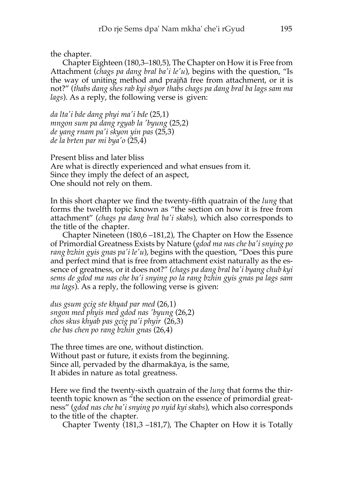the chapter.

Chapter Eighteen (180,3–180,5), The Chapter on How it is Free from Attachment (*chags pa dang bral ba'i le'u*), begins with the question, "Is the way of uniting method and prajñā free from attachment, or it is not?" (*thabs dang shes rab kyi sbyor thabs chags pa dang bral ba lags sam ma lags*). As a reply, the following verse is given:

*da lta'i bde dang phyi ma'i bde* (25,1) *mngon sum pa dang rgyab la 'byung* (25,2) *de yang rnam pa'i skyon yin pas* (25,3) *de la brten par mi bya'o* (25,4)

Present bliss and later bliss Are what is directly experienced and what ensues from it. Since they imply the defect of an aspect, One should not rely on them.

In this short chapter we find the twenty-fifth quatrain of the *lung* that forms the twelfth topic known as "the section on how it is free from attachment" (*chags pa dang bral ba'i skabs*), which also corresponds to the title of the chapter.

Chapter Nineteen (180,6 –181,2), The Chapter on How the Essence of Primordial Greatness Exists by Nature (*gdod ma nas che ba'i snying po rang bzhin gyis gnas pa'i le'u*), begins with the question, "Does this pure and perfect mind that is free from attachment exist naturally as the essence of greatness, or it does not?" (*chags pa dang bral ba'i byang chub kyi sems de gdod ma nas che ba'i snying po la rang bzhin gyis gnas pa lags sam ma lags*). As a reply, the following verse is given:

*dus gsum gcig ste khyad par med* (26,1) *sngon med phyis med gdod nas 'byung* (26,2) *chos skus khyab pas gcig pa'i phyir* (26,3) *che bas chen po rang bzhin gnas* (26,4)

The three times are one, without distinction. Without past or future, it exists from the beginning. Since all, pervaded by the dharmakāya, is the same, It abides in nature as total greatness.

Here we find the twenty-sixth quatrain of the *lung* that forms the thirteenth topic known as "the section on the essence of primordial greatness" (*gdod nas che ba'i snying po nyid kyi skabs*), which also corresponds to the title of the chapter.

Chapter Twenty (181,3 –181,7), The Chapter on How it is Totally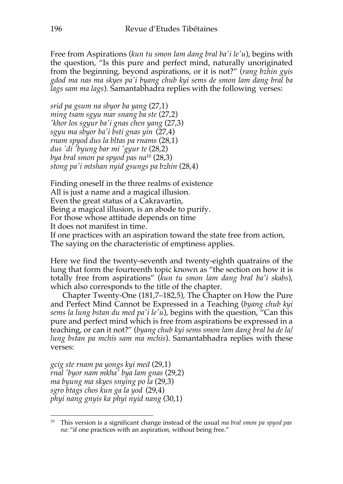Free from Aspirations (*kun tu smon lam dang bral ba'i le'u*), begins with the question, "Is this pure and perfect mind, naturally unoriginated from the beginning, beyond aspirations, or it is not?" (*rang bzhin gyis gdod ma nas ma skyes pa'i byang chub kyi sems de smon lam dang bral ba lags sam ma lags*). Samantabhadra replies with the following verses:

*srid pa gsum na sbyor ba yang* (27,1) *ming tsam sgyu mar snang ba ste* (27,2) *'khor los sgyur ba'i gnas chen yang* (27,3) *sgyu ma sbyor ba'i bsti gnas yin* (27,4) *rnam spyod dus la bltas pa rnams* (28,1) *dus 'di 'byung bar mi 'gyur te* (28,2) *bya bral smon pa spyod pas na*<sup>10</sup> (28,3) *stong pa'i mtshan nyid gsungs pa bzhin* (28,4)

Finding oneself in the three realms of existence All is just a name and a magical illusion. Even the great status of a Cakravartin, Being a magical illusion, is an abode to purify. For those whose attitude depends on time It does not manifest in time. If one practices with an aspiration toward the state free from action,

The saying on the characteristic of emptiness applies.

Here we find the twenty-seventh and twenty-eighth quatrains of the lung that form the fourteenth topic known as "the section on how it is totally free from aspirations" (*kun tu smon lam dang bral ba'i skabs*), which also corresponds to the title of the chapter.

Chapter Twenty-One (181,7–182,5), The Chapter on How the Pure and Perfect Mind Cannot be Expressed in a Teaching (*byang chub kyi sems la lung bstan du med pa'i le'u*), begins with the question, "Can this pure and perfect mind which is free from aspirations be expressed in a teaching, or can it not?" (*byang chub kyi sems smon lam dang bral ba de la/ lung bstan pa mchis sam ma mchis*). Samantabhadra replies with these verses:

*gcig ste rnam pa yongs kyi med* (29,1) *rnal 'byor nam mkha' bya lam gnas* (29,2) *ma byung ma skyes snying po la* (29,3) *sgro btags chos kun ga la yod* (29,4) *phyi nang gnyis ka phyi nyid nang* (30,1)

<sup>10</sup> This version is a significant change instead of the usual *ma bral smon pa spyod pas na*: "if one practices with an aspiration, without being free."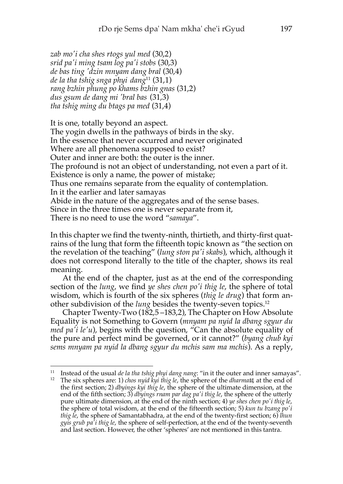*zab mo'i cha shes rtogs yul med* (30,2) *srid pa'i ming tsam log pa'i stobs* (30,3) *de bas ting 'dzin mnyam dang bral* (30,4) *de la tha tshig snga phyi dang*<sup>11</sup> (31,1) *rang bzhin phung po khams bzhin gnas* (31,2) *dus gsum de dang mi 'bral bas* (31,3) *tha tshig ming du btags pa med* (31,4)

It is one, totally beyond an aspect. The yogin dwells in the pathways of birds in the sky. In the essence that never occurred and never originated Where are all phenomena supposed to exist? Outer and inner are both: the outer is the inner. The profound is not an object of understanding, not even a part of it. Existence is only a name, the power of mistake; Thus one remains separate from the equality of contemplation. In it the earlier and later samayas Abide in the nature of the aggregates and of the sense bases. Since in the three times one is never separate from it, There is no need to use the word "*samaya*".

In this chapter we find the twenty-ninth, thirtieth, and thirty-first quatrains of the lung that form the fifteenth topic known as "the section on the revelation of the teaching" (*lung ston pa'i skabs*), which, although it does not correspond literally to the title of the chapter, shows its real meaning.

At the end of the chapter, just as at the end of the corresponding section of the *lung*, we find *ye shes chen po'i thig le*, the sphere of total wisdom, which is fourth of the six spheres (*thig le drug*) that form another subdivision of the *lung* besides the twenty-seven topics.12

Chapter Twenty-Two (182,5 –183,2), The Chapter on How Absolute Equality is not Something to Govern (*mnyam pa nyid la dbang sgyur du med pa'i le'u*), begins with the question, "Can the absolute equality of the pure and perfect mind be governed, or it cannot?" (*byang chub kyi sems mnyam pa nyid la dbang sgyur du mchis sam ma mchis*). As a reply,

<sup>11</sup> Instead of the usual *de la tha tshig phyi dang nang*: "in it the outer and inner samayas".

<sup>12</sup> The six spheres are: 1) *chos nyid kyi thig le*, the sphere of the *dharmatā*, at the end of the first section; 2) *dbyings kyi thig le*, the sphere of the ultimate dimension, at the end of the fifth section; 3) *dbyings rnam par dag pa'i thig le*, the sphere of the utterly pure ultimate dimension, at the end of the ninth section; 4) *ye shes chen po'i thig le*, the sphere of total wisdom, at the end of the fifteenth section; 5) *kun tu bzang po'i thig le*, the sphere of Samantabhadra, at the end of the twenty-first section; 6) *lhun gyis grub pa'i thig le*, the sphere of self-perfection, at the end of the twenty-seventh and last section. However, the other 'spheres' are not mentioned in this tantra.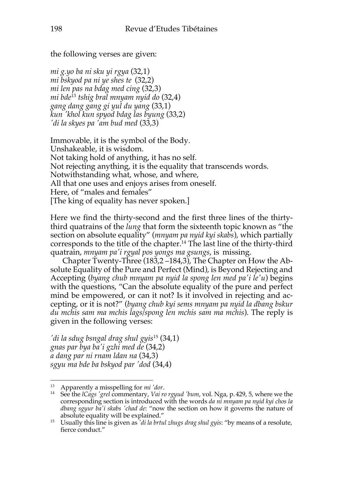the following verses are given:

*mi g.yo ba ni sku yi rgya* (32,1) *mi bskyod pa ni ye shes te* (32,2) *mi len pas na bdag med cing* (32,3) *mi bde*<sup>13</sup> *tshig bral mnyam nyid do* (32,4) *gang dang gang gi yul du yang* (33,1) *kun 'khol kun spyod bdag las byung* (33,2) *'di la skyes pa 'am bud med* (33,3)

Immovable, it is the symbol of the Body. Unshakeable, it is wisdom. Not taking hold of anything, it has no self. Not rejecting anything, it is the equality that transcends words. Notwithstanding what, whose, and where, All that one uses and enjoys arises from oneself. Here, of "males and females" [The king of equality has never spoken.]

Here we find the thirty-second and the first three lines of the thirtythird quatrains of the *lung* that form the sixteenth topic known as "the section on absolute equality" (*mnyam pa nyid kyi skabs*), which partially corresponds to the title of the chapter.14 The last line of the thirty-third quatrain, *mnyam pa'i rgyal pos yongs ma gsungs*, is missing.

Chapter Twenty-Three (183,2 –184,3), The Chapter on How the Absolute Equality of the Pure and Perfect (Mind), is Beyond Rejecting and Accepting (*byang chub mnyam pa nyid la spong len med pa'i le'u*) begins with the questions, "Can the absolute equality of the pure and perfect mind be empowered, or can it not? Is it involved in rejecting and accepting, or it is not?" (*byang chub kyi sems mnyam pa nyid la dbang bskur du mchis sam ma mchis lags/spong len mchis sam ma mchis*). The reply is given in the following verses:

*'di la sdug bsngal drag shul gyis*<sup>15</sup> (34,1) *gnas par bya ba'i gzhi med de* (34,2) *a dang par ni rnam ldan na* (34,3) *sgyu ma bde ba bskyod par 'dod* (34,4)

<sup>13</sup> Apparently a misspelling for *mi 'dor*.

<sup>14</sup> See the *lCags 'grel* commentary, *Vai ro rgyud 'bum*, vol. Nga, p. 429, 5, where we the corresponding section is introduced with the words *da ni mnyam pa nyid kyi chos la dbang sgyur ba'i skabs 'chad de*: "now the section on how it governs the nature of absolute equality will be explained."

<sup>15</sup> Usually this line is given as *'di la brtul zhugs drag shul gyis*: "by means of a resolute, fierce conduct."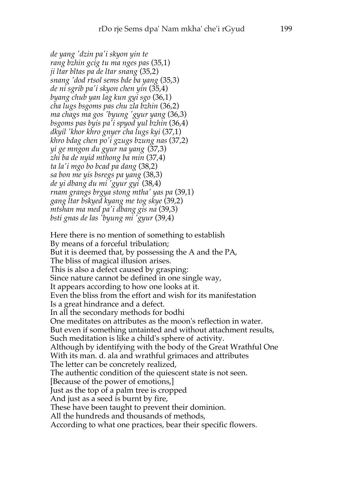*de yang 'dzin pa'i skyon yin te rang bzhin gcig tu ma nges pas* (35,1) *ji ltar bltas pa de ltar snang* (35,2) *snang 'dod rtsol sems bde ba yang* (35,3) *de ni sgrib pa'i skyon chen yin* (35,4) *byang chub yan lag kun gyi sgo* (36,1) *cha lugs bsgoms pas chu zla bzhin* (36,2) *ma chags ma gos 'byung 'gyur yang* (36,3) *bsgoms pas byis pa'i spyod yul bzhin* (36,4) *dkyil 'khor khro gnyer cha lugs kyi* (37,1) *khro bdag chen po'i gzugs bzung nas* (37,2) *yi ge mngon du gyur na yang* (37,3) *zhi ba de nyid mthong ba min* (37,4) *ta la'i mgo bo bcad pa dang* (38,2) *sa bon me yis bsregs pa yang* (38,3) *de yi dbang du mi 'gyur gyi* (38,4) *rnam grangs brgya stong mtha' yas pa* (39,1) *gang ltar bskyed kyang me tog skye* (39,2) *mtshan ma med pa'i dbang gis na* (39,3) *bsti gnas de las 'byung mi 'gyur* (39,4)

Here there is no mention of something to establish By means of a forceful tribulation; But it is deemed that, by possessing the A and the PA, The bliss of magical illusion arises. This is also a defect caused by grasping: Since nature cannot be defined in one single way, It appears according to how one looks at it. Even the bliss from the effort and wish for its manifestation Is a great hindrance and a defect. In all the secondary methods for bodhi One meditates on attributes as the moon's reflection in water. But even if something untainted and without attachment results, Such meditation is like a child's sphere of activity. Although by identifying with the body of the Great Wrathful One With its man. d. ala and wrathful grimaces and attributes The letter can be concretely realized, The authentic condition of the quiescent state is not seen. [Because of the power of emotions,] Just as the top of a palm tree is cropped And just as a seed is burnt by fire, These have been taught to prevent their dominion. All the hundreds and thousands of methods, According to what one practices, bear their specific flowers.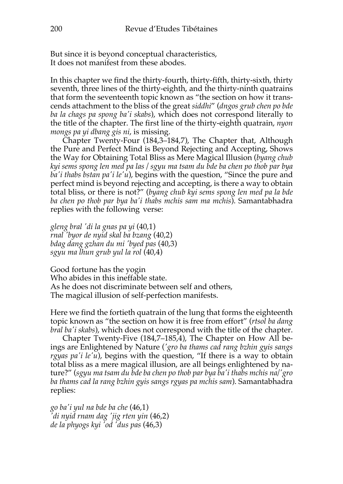But since it is beyond conceptual characteristics, It does not manifest from these abodes.

In this chapter we find the thirty-fourth, thirty-fifth, thirty-sixth, thirty seventh, three lines of the thirty-eighth, and the thirty-ninth quatrains that form the seventeenth topic known as "the section on how it transcends attachment to the bliss of the great *siddhi*" (*dngos grub chen po bde ba la chags pa spong ba'i skabs*), which does not correspond literally to the title of the chapter. The first line of the thirty-eighth quatrain, *nyon mongs pa yi dbang gis ni*, is missing.

Chapter Twenty-Four (184,3–184,7), The Chapter that, Although the Pure and Perfect Mind is Beyond Rejecting and Accepting, Shows the Way for Obtaining Total Bliss as Mere Magical Illusion (*byang chub kyi sems spong len med pa las / sgyu ma tsam du bde ba chen po thob par bya ba'i thabs bstan pa'i le'u*), begins with the question, "Since the pure and perfect mind is beyond rejecting and accepting, is there a way to obtain total bliss, or there is not?" (*byang chub kyi sems spong len med pa la bde ba chen po thob par bya ba'i thabs mchis sam ma mchis*). Samantabhadra replies with the following verse:

*gleng bral 'di la gnas pa yi* (40,1) *rnal 'byor de nyid skal ba bzang* (40,2) *bdag dang gzhan du mi 'byed pas* (40,3) *sgyu ma lhun grub yul la rol* (40,4)

Good fortune has the yogin Who abides in this ineffable state. As he does not discriminate between self and others, The magical illusion of self-perfection manifests.

Here we find the fortieth quatrain of the lung that forms the eighteenth topic known as "the section on how it is free from effort" (*rtsol ba dang bral ba'i skabs*), which does not correspond with the title of the chapter.

Chapter Twenty-Five (184,7–185,4), The Chapter on How All beings are Enlightened by Nature (*'gro ba thams cad rang bzhin gyis sangs rgyas pa'i le'u*), begins with the question, "If there is a way to obtain total bliss as a mere magical illusion, are all beings enlightened by nature?" (*sgyu ma tsam du bde ba chen po thob par bya ba'i thabs mchis na/'gro ba thams cad la rang bzhin gyis sangs rgyas pa mchis sam*). Samantabhadra replies:

*go ba'i yul na bde ba che* (46,1) *'di nyid rnam dag 'jig rten yin* (46,2) *de la phyogs kyi 'od 'dus pas* (46,3)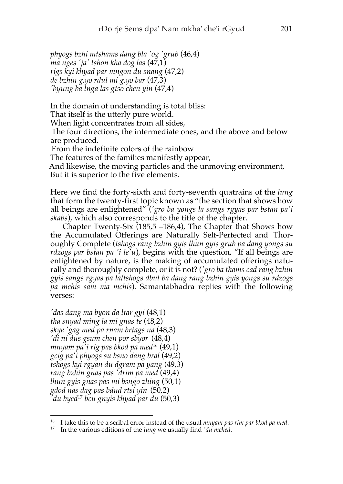*phyogs bzhi mtshams dang bla 'og 'grub* (46,4) *ma nges 'ja' tshon kha dog las* (47,1) *rigs kyi khyad par mngon du snang* (47,2) *de bzhin g.yo rdul mi g.yo bar* (47,3) *'byung ba lnga las gtso chen yin* (47,4)

In the domain of understanding is total bliss:

That itself is the utterly pure world.

When light concentrates from all sides,

The four directions, the intermediate ones, and the above and below are produced.

From the indefinite colors of the rainbow

The features of the families manifestly appear,

And likewise, the moving particles and the unmoving environment, But it is superior to the five elements.

Here we find the forty-sixth and forty-seventh quatrains of the *lung* that form the twenty-first topic known as "the section that shows how all beings are enlightened" (*'gro ba yongs la sangs rgyas par bstan pa'i skabs*), which also corresponds to the title of the chapter.

Chapter Twenty-Six (185,5 –186,4), The Chapter that Shows how the Accumulated Offerings are Naturally Self-Perfected and Thoroughly Complete (*tshogs rang bzhin gyis lhun gyis grub pa dang yongs su rdzogs par bstan pa 'i le'u*), begins with the question, "If all beings are enlightened by nature, is the making of accumulated offerings naturally and thoroughly complete, or it is not? (*'gro ba thams cad rang bzhin gyis sangs rgyas pa la/tshogs dbul ba dang rang bzhin gyis yongs su rdzogs pa mchis sam ma mchis*). Samantabhadra replies with the following verses:

*'das dang ma byon da ltar gyi* (48,1) *tha snyad ming la mi gnas te* (48,2) *skye 'gag med pa rnam brtags na* (48,3) *'di ni dus gsum chen por sbyor* (48,4) *mnyam pa'i rig pas bkod pa med*<sup>16</sup> (49,1) *gcig pa'i phyogs su bsno dang bral* (49,2) *tshogs kyi rgyan du dgram pa yang* (49,3) *rang bzhin gnas pas 'drim pa med* (49,4) *lhun gyis gnas pas mi bsngo zhing* (50,1) *gdod nas dag pas bdud rtsi yin* (50,2) *'du byed*<sup>17</sup> *bcu gnyis khyad par du* (50,3)

<sup>16</sup> I take this to be a scribal error instead of the usual *mnyam pas rim par bkod pa med*.

<sup>17</sup> In the various editions of the *lung* we usually find *'du mched*.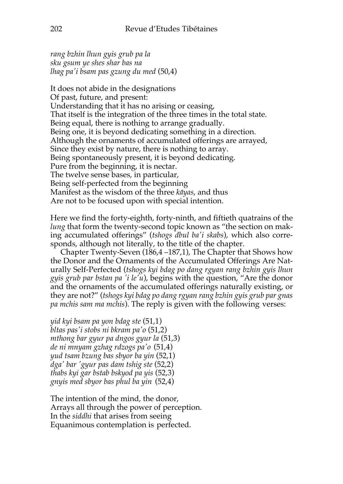*rang bzhin lhun gyis grub pa la sku gsum ye shes shar bas na lhag pa'i bsam pas gzung du med* (50,4)

It does not abide in the designations Of past, future, and present: Understanding that it has no arising or ceasing, That itself is the integration of the three times in the total state. Being equal, there is nothing to arrange gradually. Being one, it is beyond dedicating something in a direction. Although the ornaments of accumulated offerings are arrayed, Since they exist by nature, there is nothing to array. Being spontaneously present, it is beyond dedicating. Pure from the beginning, it is nectar. The twelve sense bases, in particular, Being self-perfected from the beginning Manifest as the wisdom of the three *kāyas*, and thus Are not to be focused upon with special intention.

Here we find the forty-eighth, forty-ninth, and fiftieth quatrains of the *lung* that form the twenty-second topic known as "the section on making accumulated offerings" (*tshogs dbul ba'i skabs*), which also corresponds, although not literally, to the title of the chapter.

Chapter Twenty-Seven (186,4 –187,1), The Chapter that Shows how the Donor and the Ornaments of the Accumulated Offerings Are Naturally Self-Perfected (*tshogs kyi bdag po dang rgyan rang bzhin gyis lhun gyis grub par bstan pa 'i le'u*), begins with the question, "Are the donor and the ornaments of the accumulated offerings naturally existing, or they are not?" (*tshogs kyi bdag po dang rgyan rang bzhin gyis grub par gnas pa mchis sam ma mchis*). The reply is given with the following verses:

*yid kyi bsam pa yon bdag ste* (51,1) *bltas pas'i stobs ni bkram pa'o* (51,2) *mthong bar gyur pa dngos gyur la* (51,3) *de ni mnyam gzhag rdzogs pa'o* (51,4) *yud tsam bzung bas sbyor ba yin* (52,1) *dga' bar 'gyur pas dam tshig ste* (52,2) *thabs kyi gar bstab bskyod pa yis* (52,3) *gnyis med sbyor bas phul ba yin* (52,4)

The intention of the mind, the donor, Arrays all through the power of perception. In the *siddhi* that arises from seeing Equanimous contemplation is perfected.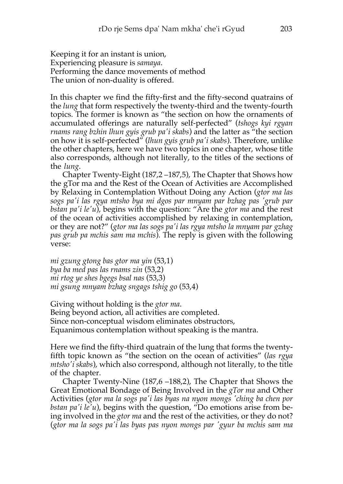Keeping it for an instant is union, Experiencing pleasure is *samaya*. Performing the dance movements of method The union of non-duality is offered.

In this chapter we find the fifty-first and the fifty-second quatrains of the *lung* that form respectively the twenty-third and the twenty-fourth topics. The former is known as "the section on how the ornaments of accumulated offerings are naturally self-perfected" (*tshogs kyi rgyan rnams rang bzhin lhun gyis grub pa'i skabs*) and the latter as "the section on how it is self-perfected" (*lhun gyis grub pa'i skabs*). Therefore, unlike the other chapters, here we have two topics in one chapter, whose title also corresponds, although not literally, to the titles of the sections of the *lung*.

Chapter Twenty-Eight (187,2 –187,5), The Chapter that Shows how the gTor ma and the Rest of the Ocean of Activities are Accomplished by Relaxing in Contemplation Without Doing any Action (*gtor ma las sogs pa'i las rgya mtsho bya mi dgos par mnyam par bzhag pas 'grub par bstan pa'i le'u*), begins with the question: "Are the *gtor ma* and the rest of the ocean of activities accomplished by relaxing in contemplation, or they are not?" (*gtor ma las sogs pa'i las rgya mtsho la mnyam par gzhag pas grub pa mchis sam ma mchis*). The reply is given with the following verse:

*mi gzung gtong bas gtor ma yin* (53,1) *bya ba med pas las rnams zin* (53,2) *mi rtog ye shes bgegs bsal nas* (53,3) *mi gsung mnyam bzhag sngags tshig go* (53,4)

Giving without holding is the *gtor ma*. Being beyond action, all activities are completed. Since non-conceptual wisdom eliminates obstructors, Equanimous contemplation without speaking is the mantra.

Here we find the fifty-third quatrain of the lung that forms the twentyfifth topic known as "the section on the ocean of activities" (*las rgya mtsho'i skabs*), which also correspond, although not literally, to the title of the chapter.

Chapter Twenty-Nine (187,6 –188,2), The Chapter that Shows the Great Emotional Bondage of Being Involved in the *gTor ma* and Other Activities (*gtor ma la sogs pa'i las byas na nyon mongs 'ching ba chen por bstan pa'i le'u*), begins with the question, "Do emotions arise from being involved in the *gtor ma* and the rest of the activities, or they do not? (*gtor ma la sogs pa'i las byas pas nyon mongs par 'gyur ba mchis sam ma*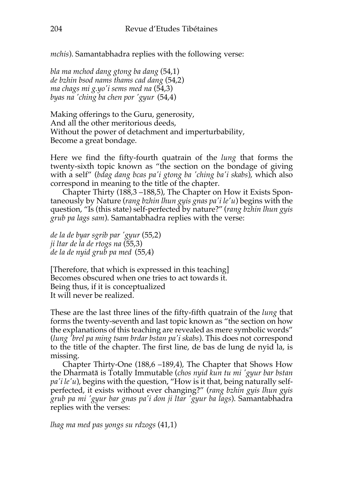*mchis*). Samantabhadra replies with the following verse:

*bla ma mchod dang gtong ba dang* (54,1) *de bzhin bsod nams thams cad dang* (54,2) *ma chags mi g.yo'i sems med na* (54,3) *byas na 'ching ba chen por 'gyur* (54,4)

Making offerings to the Guru, generosity, And all the other meritorious deeds, Without the power of detachment and imperturbability, Become a great bondage.

Here we find the fifty-fourth quatrain of the *lung* that forms the twenty-sixth topic known as "the section on the bondage of giving with a self" (*bdag dang bcas pa'i gtong ba 'ching ba'i skabs*), which also correspond in meaning to the title of the chapter.

Chapter Thirty (188,3 –188,5), The Chapter on How it Exists Spontaneously by Nature (*rang bzhin lhun gyis gnas pa'i le'u*) begins with the question, "Is (this state) self-perfected by nature?" (*rang bzhin lhun gyis grub pa lags sam*). Samantabhadra replies with the verse:

*de la de byar sgrib par 'gyur* (55,2) *ji ltar de la de rtogs na* (55,3) *de la de nyid grub pa med* (55,4)

[Therefore, that which is expressed in this teaching] Becomes obscured when one tries to act towards it. Being thus, if it is conceptualized It will never be realized.

These are the last three lines of the fifty-fifth quatrain of the *lung* that forms the twenty-seventh and last topic known as "the section on how the explanations of this teaching are revealed as mere symbolic words" (*lung 'brel pa ming tsam brdar bstan pa'i skabs*). This does not correspond to the title of the chapter. The first line, de bas de lung de nyid la, is missing.

Chapter Thirty-One (188,6 –189,4), The Chapter that Shows How the Dharmatā is Totally Immutable (*chos nyid kun tu mi 'gyur bar bstan pa'i le'u*), begins with the question, "How is it that, being naturally selfperfected, it exists without ever changing?" (*rang bzhin gyis lhun gyis grub pa mi 'gyur bar gnas pa'i don ji ltar 'gyur ba lags*). Samantabhadra replies with the verses:

*lhag ma med pas yongs su rdzogs* (41,1)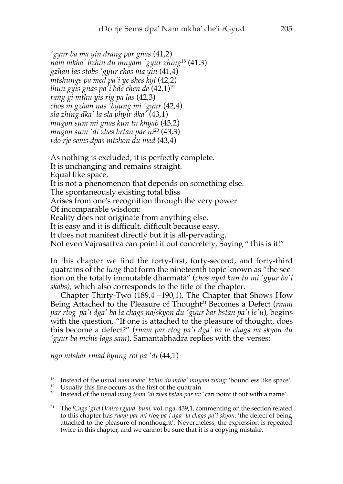*'gyur ba ma yin drang por gnas* (41,2) *nam mkha' bzhin du mnyam 'gyur zhing*<sup>18</sup> (41,3) *gzhan las stobs 'gyur chos ma yin* (41,4) *mtshungs pa med pa'i ye shes kyi* (42,2) *lhun gyis gnas pa'i bde chen de* (42,1)19 *rang gi mthu yis rig pa las* (42,3) *chos ni gzhan nas 'byung mi 'gyur* (42,4) *sla zhing dka' la sla phyir dka'* (43,1) *mngon sum mi gnas kun tu khyab* (43,2) *mngon sum 'di zhes brtan par ni*<sup>20</sup> (43,3) *rdo rje sems dpas mtshon du med* (43,4)

As nothing is excluded, it is perfectly complete. It is unchanging and remains straight. Equal like space, It is not a phenomenon that depends on something else. The spontaneously existing total bliss Arises from one's recognition through the very power Of incomparable wisdom: Reality does not originate from anything else. It is easy and it is difficult, difficult because easy. It does not manifest directly but it is all-pervading. Not even Vajrasattva can point it out concretely, Saying "This is it!"

In this chapter we find the forty-first, forty-second, and forty-third quatrains of the *lung* that form the nineteenth topic known as "the section on the totally immutable dharmatā" (*chos nyid kun tu mi 'gyur ba'i skabs),* which also corresponds to the title of the chapter.

Chapter Thirty-Two (189,4 –190,1), The Chapter that Shows How Being Attached to the Pleasure of Thought21 Becomes a Defect (*rnam par rtog pa'i dga' ba la chags na/skyon du 'gyur bar bstan pa'i le'u*), begins with the question, "If one is attached to the pleasure of thought, does this become a defect?" (*rnam par rtog pa'i dga' ba la chags na skyon du 'gyur ba mchis lags sam*). Samantabhadra replies with the verses:

*ngo mtshar rmad byung rol pa 'di* (44,1)

<sup>18</sup> Instead of the usual *nam mkha' bzhin du mtha' mnyam zhing*: 'boundless like space'.

<sup>&</sup>lt;sup>19</sup> Usually this line occurs as the first of the quatrain.

<sup>20</sup> Instead of the usual *ming tsam 'di zhes bstan par ni*: 'can point it out with a name'.

<sup>21</sup> The *lCags'grel* (*Vairo rgyud 'bum*, vol. nga, 439,1, commenting on the section related to this chapter has *rnam par mi rtog pa'i dga' la chags pa'i skyon*: 'the defect of being attached to the pleasure of nonthought'. Nevertheless, the expression is repeated twice in this chapter, and we cannot be sure that it is a copying mistake.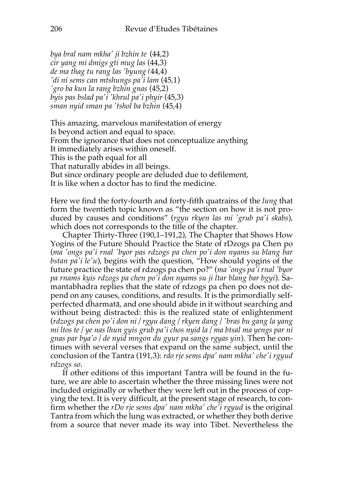*bya bral nam mkha' ji bzhin te* (44,2) *cir yang mi dmigs gti mug las* (44,3) *de ma thag tu rang las 'byung (*44,4) *'di ni sems can mtshungs pa'i lam* (45,1) *'gro ba kun la rang bzhin gnas* (45,2) *byis pas bslad pa'i 'khrul pa'i phyir* (45,3) *sman nyid sman pa 'tshol ba bzhin* (45,4)

This amazing, marvelous manifestation of energy Is beyond action and equal to space. From the ignorance that does not conceptualize anything It immediately arises within oneself. This is the path equal for all That naturally abides in all beings. But since ordinary people are deluded due to defilement, It is like when a doctor has to find the medicine.

Here we find the forty-fourth and forty-fifth quatrains of the *lung* that form the twentieth topic known as "the section on how it is not produced by causes and conditions" (*rgyu rkyen las mi 'grub pa'i skabs*), which does not corresponds to the title of the chapter.

Chapter Thirty-Three (190,1–191,2), The Chapter that Shows How Yogins of the Future Should Practice the State of rDzogs pa Chen po (*ma 'ongs pa'i rnal 'byor pas rdzogs pa chen po'i don nyams su blang bar bstan pa'i le'u*), begins with the question, "How should yogins of the future practice the state of rdzogs pa chen po?" (*ma 'ongs pa'i rnal 'byor pa rnams kyis rdzogs pa chen po'i don nyams su ji ltar blang bar bgyi*). Samantabhadra replies that the state of rdzogs pa chen po does not depend on any causes, conditions, and results. It is the primordially selfperfected dharmatā, and one should abide in it without searching and without being distracted: this is the realized state of enlightenment (*rdzogs pa chen po'i don ni / rgyu dang / rkyen dang / 'bras bu gang la yang mi ltos te / ye nas lhun gyis grub pa'i chos nyid la / ma btsal ma yengs par ni gnas par bya'o / de nyid mngon du gyur pa sangs rgyas yin*). Then he continues with several verses that expand on the same subject, until the conclusion of the Tantra (191,3): *rdo rje sems dpa' nam mkha' che'i rgyud rdzogs so*.

If other editions of this important Tantra will be found in the future, we are able to ascertain whether the three missing lines were not included originally or whether they were left out in the process of copying the text. It is very difficult, at the present stage of research, to confirm whether the *rDo rje sems dpa' nam mkha' che'i rgyud* is the original Tantra from which the lung was extracted, or whether they both derive from a source that never made its way into Tibet. Nevertheless the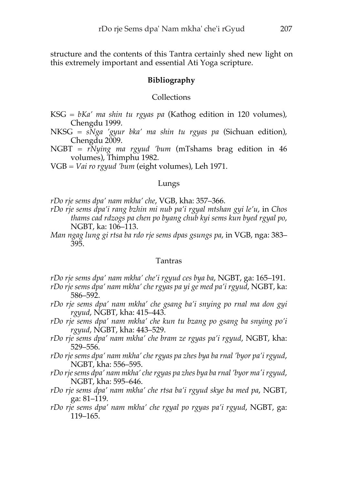structure and the contents of this Tantra certainly shed new light on this extremely important and essential Ati Yoga scripture.

## **Bibliography**

#### **Collections**

KSG *= bKa' ma shin tu rgyas pa* (Kathog edition in 120 volumes), Chengdu 1999.

NKSG = *sNga 'gyur bka' ma shin tu rgyas pa* (Sichuan edition), Chengdu 2009.

NGBT = *rNying ma rgyud 'bum* (mTshams brag edition in 46 volumes), Thimphu 1982.

VGB = *Vai ro rgyud 'bum* (eight volumes), Leh 1971.

### Lungs

*rDo rje sems dpa' nam mkha' che*, VGB, kha: 357–366.

*rDo rje sems dpa'i rang bzhin mi nub pa'i rgyal mtshan gyi le'u*, in *Chos thams cad rdzogs pa chen po byang chub kyi sems kun byed rgyal po*, NGBT, ka: 106–113.

*Man ngag lung gi rtsa ba rdo rje sems dpas gsungs pa*, in VGB, nga: 383– 395.

## Tantras

*rDo rje sems dpa' nam mkha' che'i rgyud ces bya ba*, NGBT, ga: 165–191.

*rDo rje sems dpa' nam mkha' che rgyas pa yi ge med pa'i rgyud*, NGBT, ka: 586–592.

- *rDo rje sems dpa' nam mkha' che gsang ba'i snying po rnal ma don gyi rgyud*, NGBT, kha: 415–443.
- *rDo rje sems dpa' nam mkha' che kun tu bzang po gsang ba snying po'i rgyud*, NGBT, kha: 443–529.
- *rDo rje sems dpa' nam mkha' che bram ze rgyas pa'i rgyud*, NGBT, kha: 529–556.
- *rDo rje sems dpa' nam mkha' che rgyas pa zhes bya ba rnal 'byor pa'i rgyud*, NGBT, kha: 556–595.
- *rDo rjesems dpa' nam mkha' chergyas pa zhes bya ba rnal 'byor ma'irgyud*, NGBT, kha: 595–646.
- *rDo rje sems dpa' nam mkha' che rtsa ba'i rgyud skye ba med pa*, NGBT, ga: 81–119.
- *rDo rje sems dpa' nam mkha' che rgyal po rgyas pa'i rgyud*, NGBT, ga: 119–165.